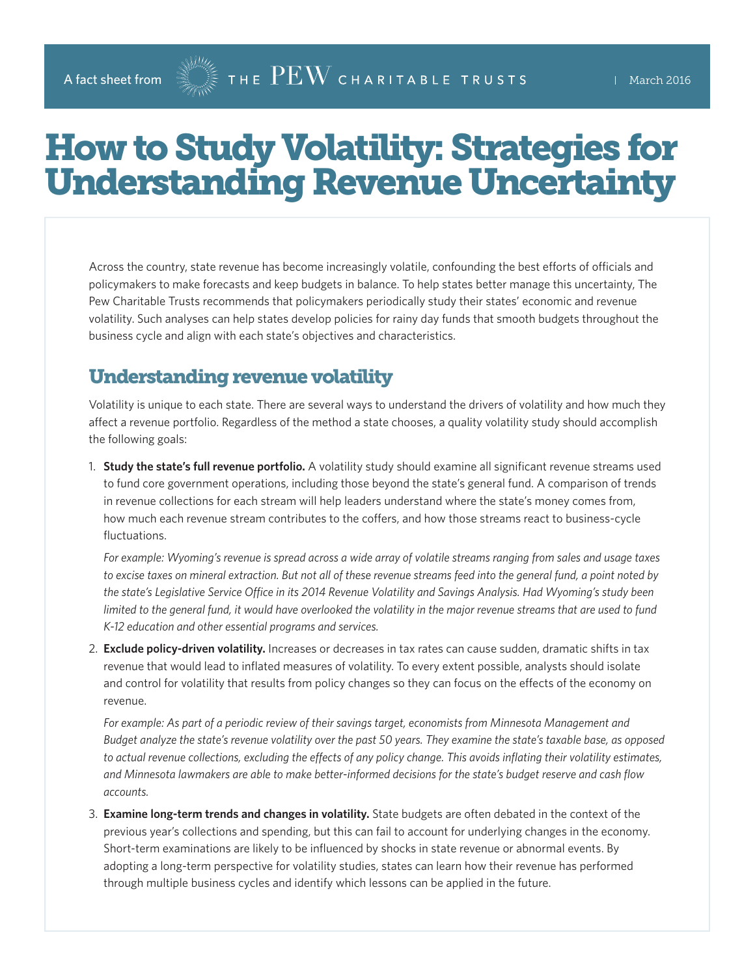## How to Study Volatility: Strategies for Understanding Revenue Uncertainty

Across the country, state revenue has become increasingly volatile, confounding the best efforts of officials and policymakers to make forecasts and keep budgets in balance. To help states better manage this uncertainty, The Pew Charitable Trusts recommends that policymakers periodically study their states' economic and revenue volatility. Such analyses can help states develop policies for rainy day funds that smooth budgets throughout the business cycle and align with each state's objectives and characteristics.

## Understanding revenue volatility

Volatility is unique to each state. There are several ways to understand the drivers of volatility and how much they affect a revenue portfolio. Regardless of the method a state chooses, a quality volatility study should accomplish the following goals:

1. **Study the state's full revenue portfolio.** A volatility study should examine all significant revenue streams used to fund core government operations, including those beyond the state's general fund. A comparison of trends in revenue collections for each stream will help leaders understand where the state's money comes from, how much each revenue stream contributes to the coffers, and how those streams react to business-cycle fluctuations.

*For example: Wyoming's revenue is spread across a wide array of volatile streams ranging from sales and usage taxes to excise taxes on mineral extraction. But not all of these revenue streams feed into the general fund, a point noted by the state's Legislative Service Office in its 2014 Revenue Volatility and Savings Analysis. Had Wyoming's study been limited to the general fund, it would have overlooked the volatility in the major revenue streams that are used to fund K-12 education and other essential programs and services.*

2. **Exclude policy-driven volatility.** Increases or decreases in tax rates can cause sudden, dramatic shifts in tax revenue that would lead to inflated measures of volatility. To every extent possible, analysts should isolate and control for volatility that results from policy changes so they can focus on the effects of the economy on revenue.

*For example: As part of a periodic review of their savings target, economists from Minnesota Management and Budget analyze the state's revenue volatility over the past 50 years. They examine the state's taxable base, as opposed to actual revenue collections, excluding the effects of any policy change. This avoids inflating their volatility estimates, and Minnesota lawmakers are able to make better-informed decisions for the state's budget reserve and cash flow accounts.*

3. **Examine long-term trends and changes in volatility.** State budgets are often debated in the context of the previous year's collections and spending, but this can fail to account for underlying changes in the economy. Short-term examinations are likely to be influenced by shocks in state revenue or abnormal events. By adopting a long-term perspective for volatility studies, states can learn how their revenue has performed through multiple business cycles and identify which lessons can be applied in the future.